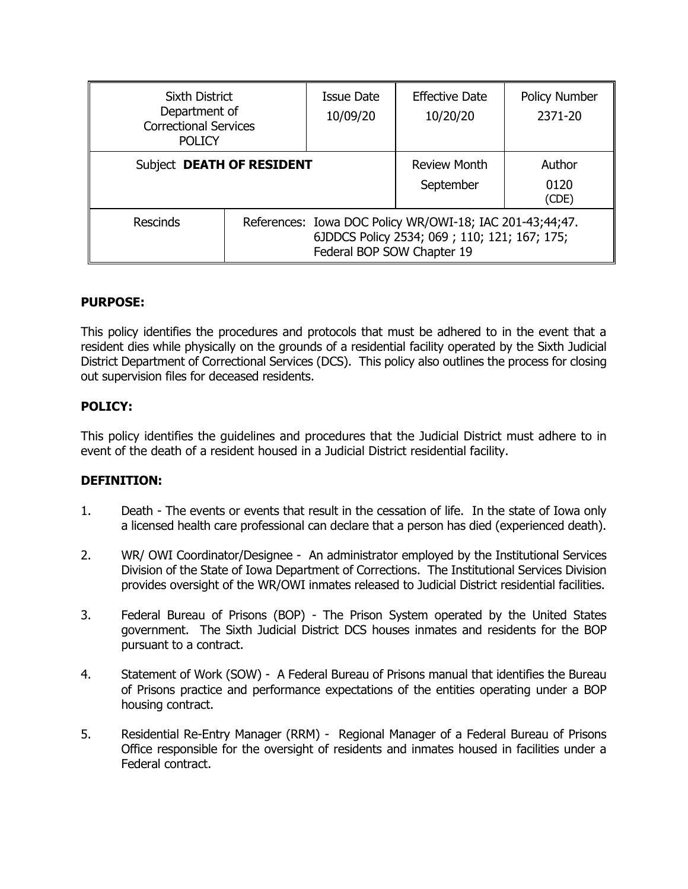| <b>Sixth District</b><br>Department of<br><b>Correctional Services</b><br><b>POLICY</b> |                                                                                                                                        | Issue Date<br>10/09/20           | <b>Effective Date</b><br>10/20/20 | <b>Policy Number</b><br>2371-20 |
|-----------------------------------------------------------------------------------------|----------------------------------------------------------------------------------------------------------------------------------------|----------------------------------|-----------------------------------|---------------------------------|
| Subject DEATH OF RESIDENT                                                               |                                                                                                                                        | <b>Review Month</b><br>September | Author<br>0120<br>(CDE)           |                                 |
| <b>Rescinds</b>                                                                         | References: Iowa DOC Policy WR/OWI-18; IAC 201-43;44;47.<br>6JDDCS Policy 2534; 069; 110; 121; 167; 175;<br>Federal BOP SOW Chapter 19 |                                  |                                   |                                 |

# **PURPOSE:**

This policy identifies the procedures and protocols that must be adhered to in the event that a resident dies while physically on the grounds of a residential facility operated by the Sixth Judicial District Department of Correctional Services (DCS). This policy also outlines the process for closing out supervision files for deceased residents.

# **POLICY:**

This policy identifies the guidelines and procedures that the Judicial District must adhere to in event of the death of a resident housed in a Judicial District residential facility.

### **DEFINITION:**

- 1. Death The events or events that result in the cessation of life. In the state of Iowa only a licensed health care professional can declare that a person has died (experienced death).
- 2. WR/ OWI Coordinator/Designee An administrator employed by the Institutional Services Division of the State of Iowa Department of Corrections. The Institutional Services Division provides oversight of the WR/OWI inmates released to Judicial District residential facilities.
- 3. Federal Bureau of Prisons (BOP) The Prison System operated by the United States government. The Sixth Judicial District DCS houses inmates and residents for the BOP pursuant to a contract.
- 4. Statement of Work (SOW) A Federal Bureau of Prisons manual that identifies the Bureau of Prisons practice and performance expectations of the entities operating under a BOP housing contract.
- 5. Residential Re-Entry Manager (RRM) Regional Manager of a Federal Bureau of Prisons Office responsible for the oversight of residents and inmates housed in facilities under a Federal contract.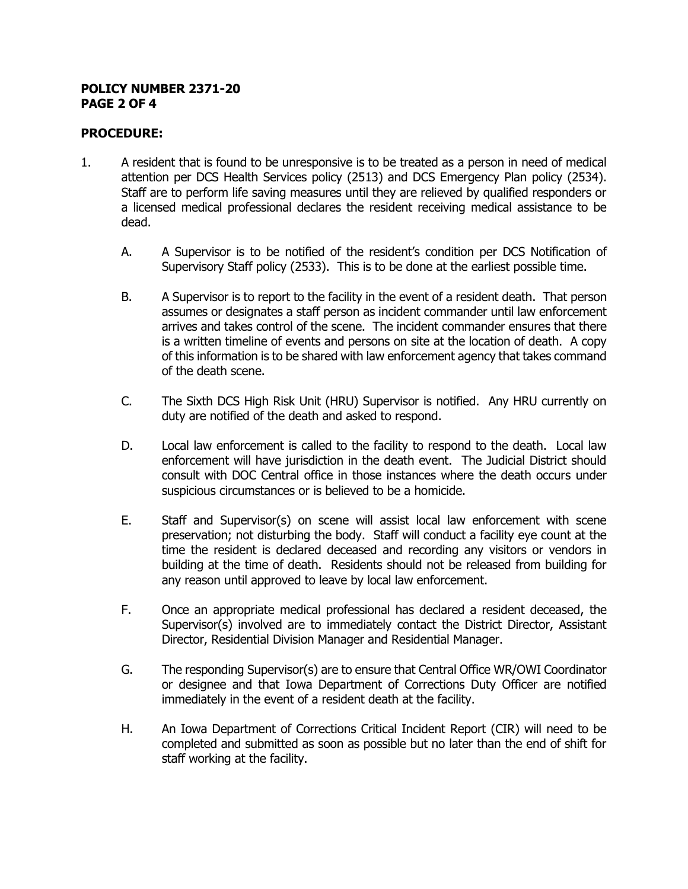#### **POLICY NUMBER 2371-20 PAGE 2 OF 4**

# **PROCEDURE:**

- 1. A resident that is found to be unresponsive is to be treated as a person in need of medical attention per DCS Health Services policy (2513) and DCS Emergency Plan policy (2534). Staff are to perform life saving measures until they are relieved by qualified responders or a licensed medical professional declares the resident receiving medical assistance to be dead.
	- A. A Supervisor is to be notified of the resident's condition per DCS Notification of Supervisory Staff policy (2533). This is to be done at the earliest possible time.
	- B. A Supervisor is to report to the facility in the event of a resident death. That person assumes or designates a staff person as incident commander until law enforcement arrives and takes control of the scene. The incident commander ensures that there is a written timeline of events and persons on site at the location of death. A copy of this information is to be shared with law enforcement agency that takes command of the death scene.
	- C. The Sixth DCS High Risk Unit (HRU) Supervisor is notified. Any HRU currently on duty are notified of the death and asked to respond.
	- D. Local law enforcement is called to the facility to respond to the death. Local law enforcement will have jurisdiction in the death event. The Judicial District should consult with DOC Central office in those instances where the death occurs under suspicious circumstances or is believed to be a homicide.
	- E. Staff and Supervisor(s) on scene will assist local law enforcement with scene preservation; not disturbing the body. Staff will conduct a facility eye count at the time the resident is declared deceased and recording any visitors or vendors in building at the time of death. Residents should not be released from building for any reason until approved to leave by local law enforcement.
	- F. Once an appropriate medical professional has declared a resident deceased, the Supervisor(s) involved are to immediately contact the District Director, Assistant Director, Residential Division Manager and Residential Manager.
	- G. The responding Supervisor(s) are to ensure that Central Office WR/OWI Coordinator or designee and that Iowa Department of Corrections Duty Officer are notified immediately in the event of a resident death at the facility.
	- H. An Iowa Department of Corrections Critical Incident Report (CIR) will need to be completed and submitted as soon as possible but no later than the end of shift for staff working at the facility.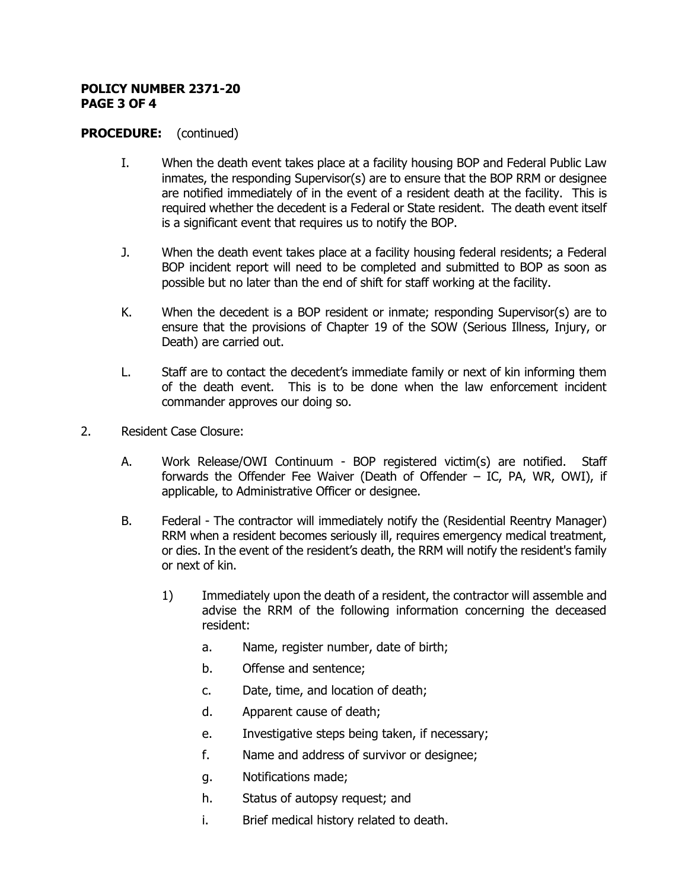#### **POLICY NUMBER 2371-20 PAGE 3 OF 4**

### **PROCEDURE:** (continued)

- I. When the death event takes place at a facility housing BOP and Federal Public Law inmates, the responding Supervisor(s) are to ensure that the BOP RRM or designee are notified immediately of in the event of a resident death at the facility. This is required whether the decedent is a Federal or State resident. The death event itself is a significant event that requires us to notify the BOP.
- J. When the death event takes place at a facility housing federal residents; a Federal BOP incident report will need to be completed and submitted to BOP as soon as possible but no later than the end of shift for staff working at the facility.
- K. When the decedent is a BOP resident or inmate; responding Supervisor(s) are to ensure that the provisions of Chapter 19 of the SOW (Serious Illness, Injury, or Death) are carried out.
- L. Staff are to contact the decedent's immediate family or next of kin informing them of the death event. This is to be done when the law enforcement incident commander approves our doing so.
- 2. Resident Case Closure:
	- A. Work Release/OWI Continuum BOP registered victim(s) are notified. Staff forwards the Offender Fee Waiver (Death of Offender – IC, PA, WR, OWI), if applicable, to Administrative Officer or designee.
	- B. Federal The contractor will immediately notify the (Residential Reentry Manager) RRM when a resident becomes seriously ill, requires emergency medical treatment, or dies. In the event of the resident's death, the RRM will notify the resident's family or next of kin.
		- 1) Immediately upon the death of a resident, the contractor will assemble and advise the RRM of the following information concerning the deceased resident:
			- a. Name, register number, date of birth;
			- b. Offense and sentence;
			- c. Date, time, and location of death;
			- d. Apparent cause of death;
			- e. Investigative steps being taken, if necessary;
			- f. Name and address of survivor or designee;
			- g. Notifications made;
			- h. Status of autopsy request; and
			- i. Brief medical history related to death.